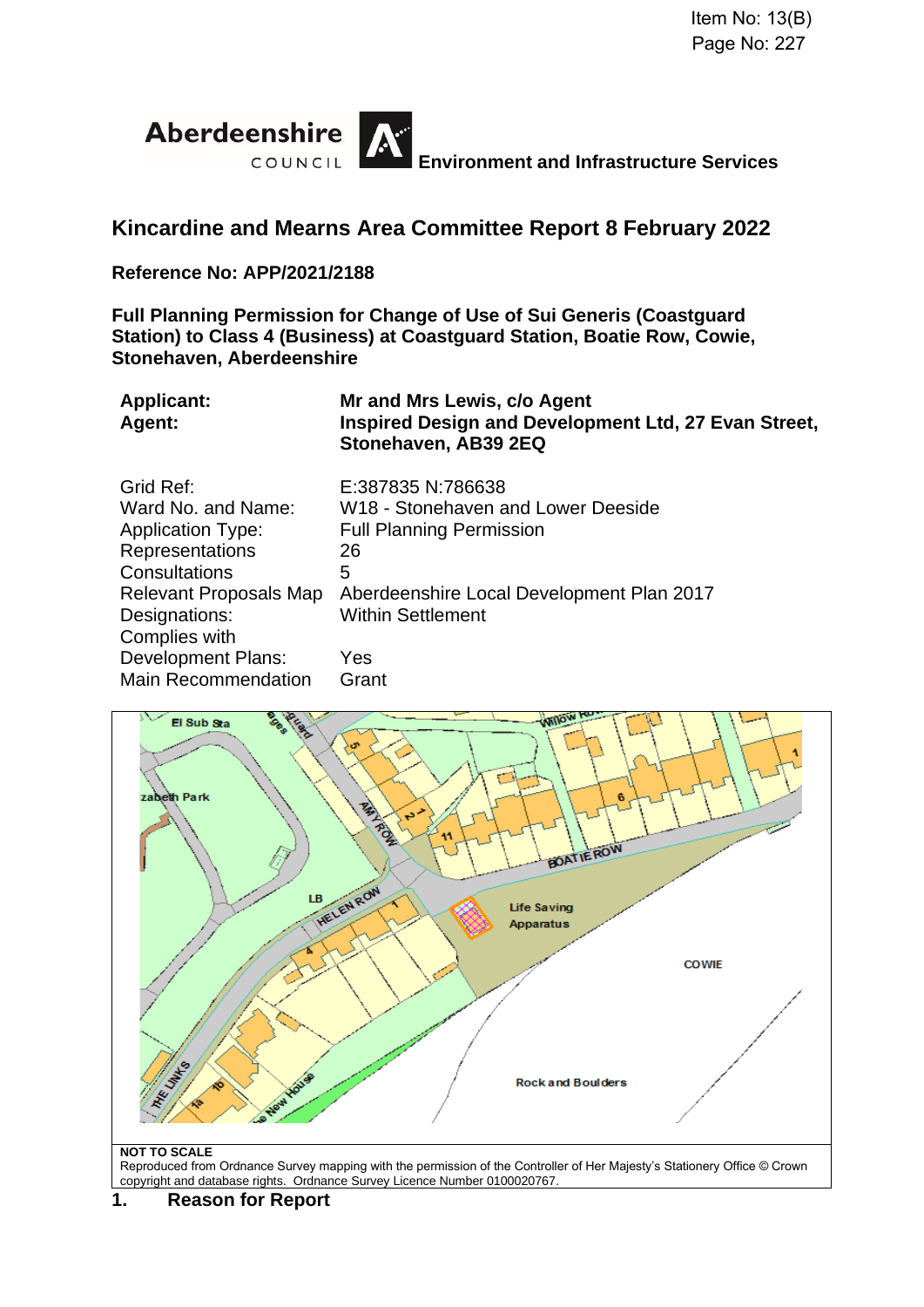

# **Kincardine and Mearns Area Committee Report 8 February 2022**

#### **Reference No: APP/2021/2188**

**Full Planning Permission for Change of Use of Sui Generis (Coastguard Station) to Class 4 (Business) at Coastguard Station, Boatie Row, Cowie, Stonehaven, Aberdeenshire**

| <b>Applicant:</b><br>Agent: | Mr and Mrs Lewis, c/o Agent<br>Inspired Design and Development Ltd, 27 Evan Street,<br>Stonehaven, AB39 2EQ |
|-----------------------------|-------------------------------------------------------------------------------------------------------------|
| Grid Ref:                   | E:387835 N:786638                                                                                           |
| Ward No. and Name:          | W18 - Stonehaven and Lower Deeside                                                                          |
| <b>Application Type:</b>    | <b>Full Planning Permission</b>                                                                             |
| <b>Representations</b>      | 26                                                                                                          |
| Consultations               | 5                                                                                                           |
| Relevant Proposals Map      | Aberdeenshire Local Development Plan 2017                                                                   |
| Designations:               | <b>Within Settlement</b>                                                                                    |
| Complies with               |                                                                                                             |
| <b>Development Plans:</b>   | <b>Yes</b>                                                                                                  |
| <b>Main Recommendation</b>  | Grant                                                                                                       |



Reproduced from Ordnance Survey mapping with the permission of the Controller of Her Majesty's Stationery Office © Crown copyright and database rights. Ordnance Survey Licence Number 0100020767.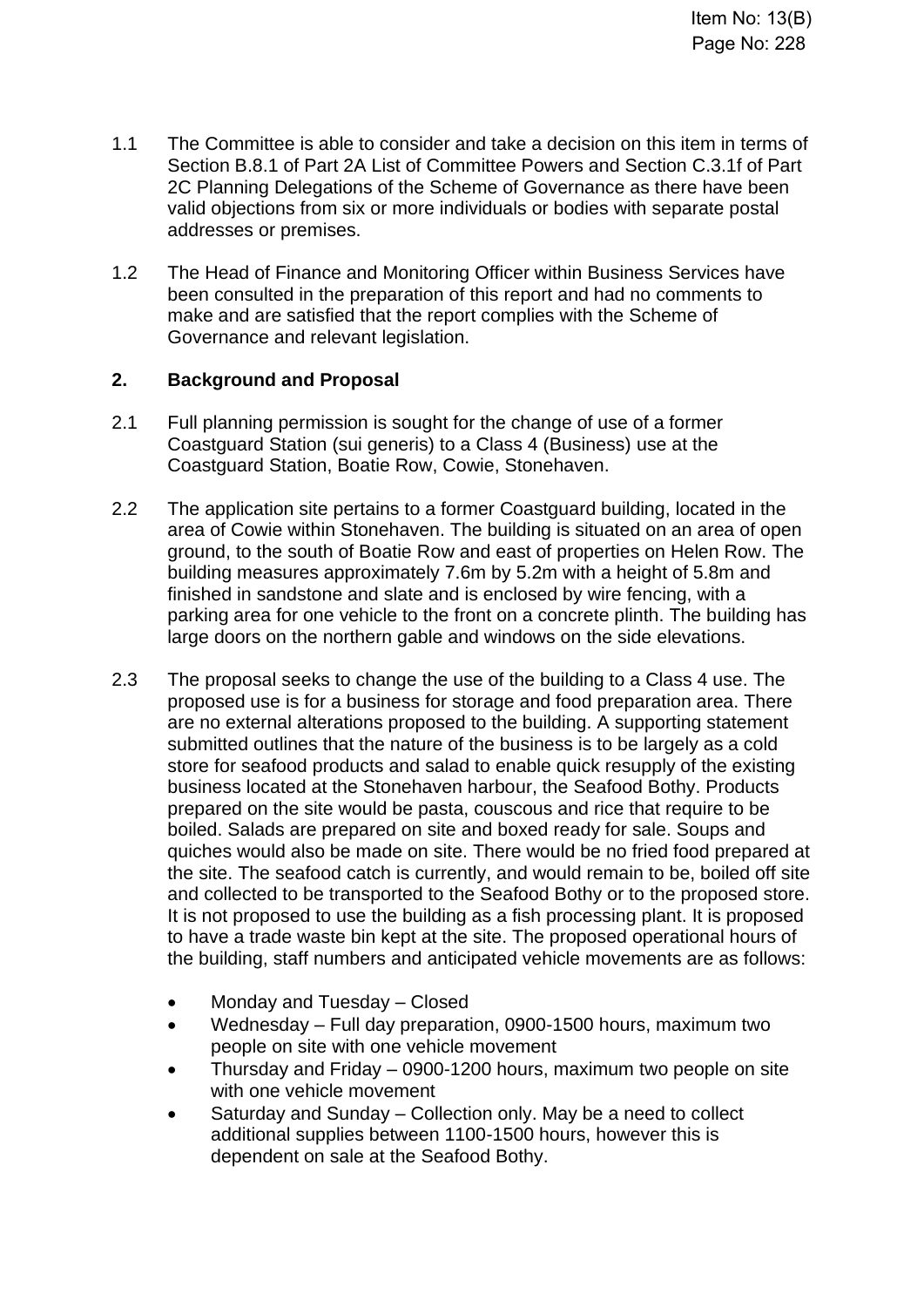- 1.1 The Committee is able to consider and take a decision on this item in terms of Section B.8.1 of Part 2A List of Committee Powers and Section C.3.1f of Part 2C Planning Delegations of the Scheme of Governance as there have been valid objections from six or more individuals or bodies with separate postal addresses or premises.
- 1.2 The Head of Finance and Monitoring Officer within Business Services have been consulted in the preparation of this report and had no comments to make and are satisfied that the report complies with the Scheme of Governance and relevant legislation.

# **2. Background and Proposal**

- 2.1 Full planning permission is sought for the change of use of a former Coastguard Station (sui generis) to a Class 4 (Business) use at the Coastguard Station, Boatie Row, Cowie, Stonehaven.
- 2.2 The application site pertains to a former Coastguard building, located in the area of Cowie within Stonehaven. The building is situated on an area of open ground, to the south of Boatie Row and east of properties on Helen Row. The building measures approximately 7.6m by 5.2m with a height of 5.8m and finished in sandstone and slate and is enclosed by wire fencing, with a parking area for one vehicle to the front on a concrete plinth. The building has large doors on the northern gable and windows on the side elevations.
- 2.3 The proposal seeks to change the use of the building to a Class 4 use. The proposed use is for a business for storage and food preparation area. There are no external alterations proposed to the building. A supporting statement submitted outlines that the nature of the business is to be largely as a cold store for seafood products and salad to enable quick resupply of the existing business located at the Stonehaven harbour, the Seafood Bothy. Products prepared on the site would be pasta, couscous and rice that require to be boiled. Salads are prepared on site and boxed ready for sale. Soups and quiches would also be made on site. There would be no fried food prepared at the site. The seafood catch is currently, and would remain to be, boiled off site and collected to be transported to the Seafood Bothy or to the proposed store. It is not proposed to use the building as a fish processing plant. It is proposed to have a trade waste bin kept at the site. The proposed operational hours of the building, staff numbers and anticipated vehicle movements are as follows:
	- Monday and Tuesday Closed
	- Wednesday Full day preparation, 0900-1500 hours, maximum two people on site with one vehicle movement
	- Thursday and Friday 0900-1200 hours, maximum two people on site with one vehicle movement
	- Saturday and Sunday Collection only. May be a need to collect additional supplies between 1100-1500 hours, however this is dependent on sale at the Seafood Bothy.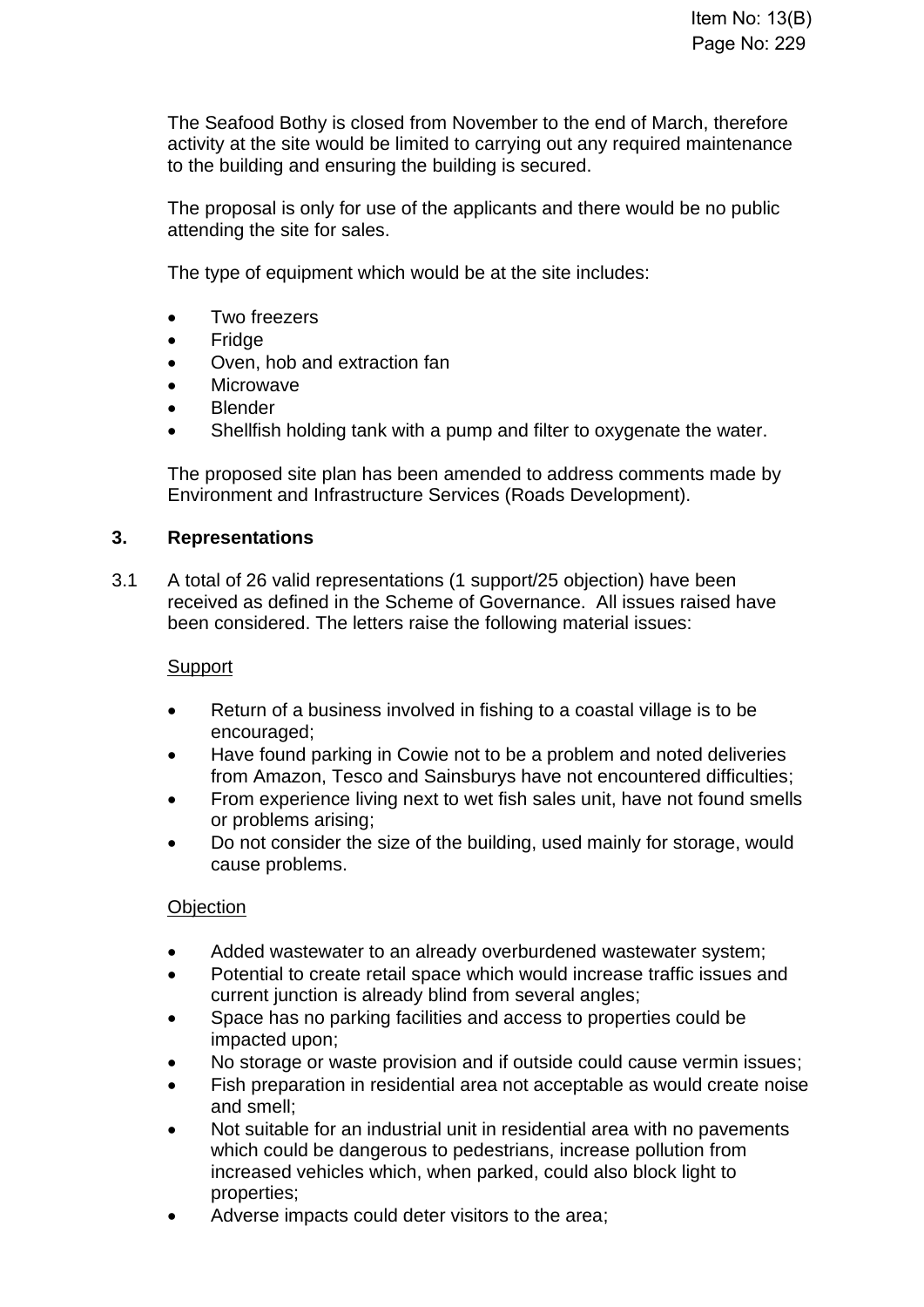The Seafood Bothy is closed from November to the end of March, therefore activity at the site would be limited to carrying out any required maintenance to the building and ensuring the building is secured.

The proposal is only for use of the applicants and there would be no public attending the site for sales.

The type of equipment which would be at the site includes:

- Two freezers
- **Fridge**
- Oven, hob and extraction fan
- Microwave
- **Blender**
- Shellfish holding tank with a pump and filter to oxygenate the water.

The proposed site plan has been amended to address comments made by Environment and Infrastructure Services (Roads Development).

# **3. Representations**

3.1 A total of 26 valid representations (1 support/25 objection) have been received as defined in the Scheme of Governance. All issues raised have been considered. The letters raise the following material issues:

# **Support**

- Return of a business involved in fishing to a coastal village is to be encouraged;
- Have found parking in Cowie not to be a problem and noted deliveries from Amazon, Tesco and Sainsburys have not encountered difficulties;
- From experience living next to wet fish sales unit, have not found smells or problems arising;
- Do not consider the size of the building, used mainly for storage, would cause problems.

# **Objection**

- Added wastewater to an already overburdened wastewater system;
- Potential to create retail space which would increase traffic issues and current junction is already blind from several angles;
- Space has no parking facilities and access to properties could be impacted upon;
- No storage or waste provision and if outside could cause vermin issues;
- Fish preparation in residential area not acceptable as would create noise and smell;
- Not suitable for an industrial unit in residential area with no pavements which could be dangerous to pedestrians, increase pollution from increased vehicles which, when parked, could also block light to properties;
- Adverse impacts could deter visitors to the area;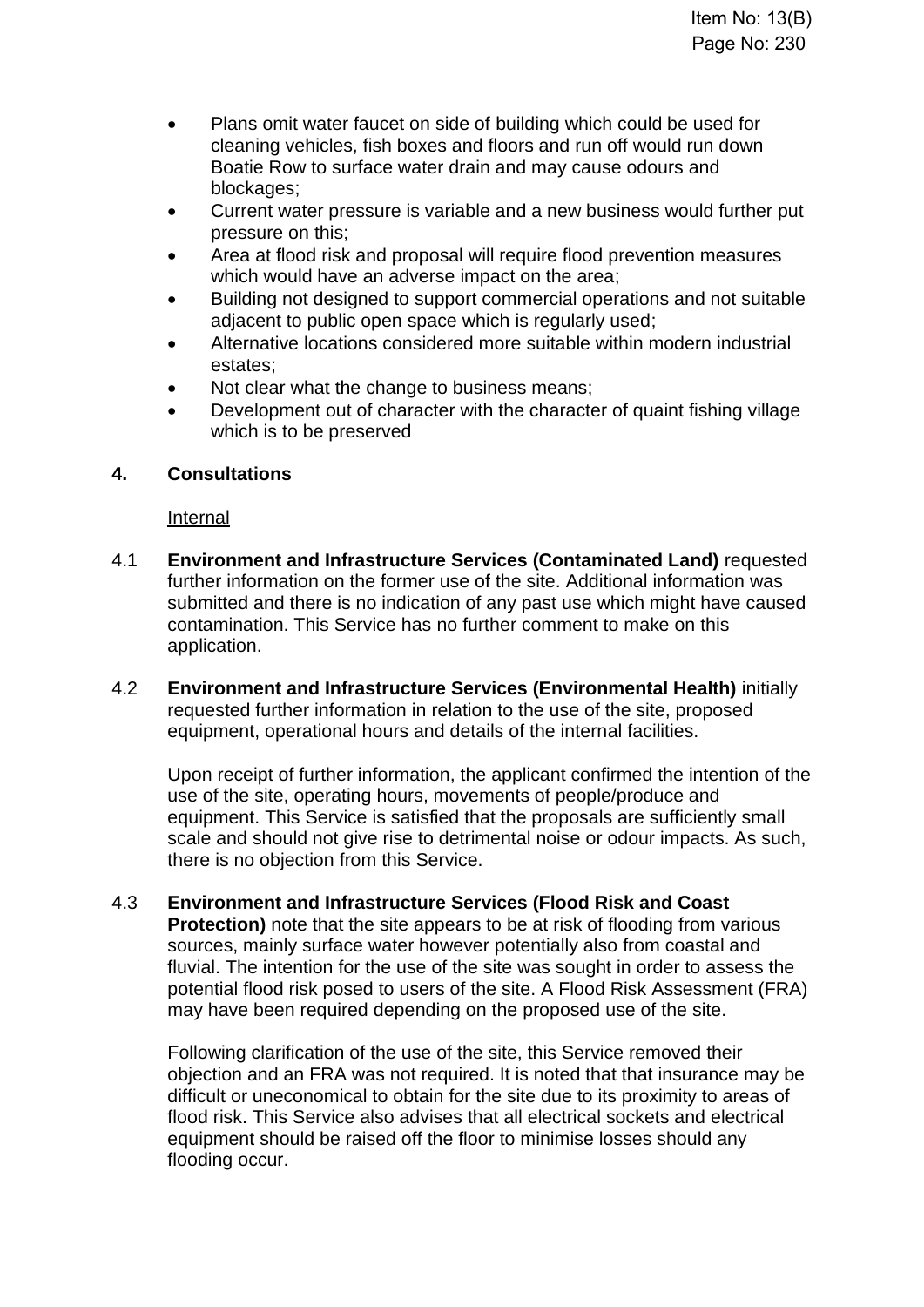- Plans omit water faucet on side of building which could be used for cleaning vehicles, fish boxes and floors and run off would run down Boatie Row to surface water drain and may cause odours and blockages;
- Current water pressure is variable and a new business would further put pressure on this;
- Area at flood risk and proposal will require flood prevention measures which would have an adverse impact on the area;
- Building not designed to support commercial operations and not suitable adjacent to public open space which is regularly used;
- Alternative locations considered more suitable within modern industrial estates;
- Not clear what the change to business means;
- Development out of character with the character of quaint fishing village which is to be preserved

# **4. Consultations**

Internal

- 4.1 **Environment and Infrastructure Services (Contaminated Land)** requested further information on the former use of the site. Additional information was submitted and there is no indication of any past use which might have caused contamination. This Service has no further comment to make on this application.
- 4.2 **Environment and Infrastructure Services (Environmental Health)** initially requested further information in relation to the use of the site, proposed equipment, operational hours and details of the internal facilities.

Upon receipt of further information, the applicant confirmed the intention of the use of the site, operating hours, movements of people/produce and equipment. This Service is satisfied that the proposals are sufficiently small scale and should not give rise to detrimental noise or odour impacts. As such, there is no objection from this Service.

4.3 **Environment and Infrastructure Services (Flood Risk and Coast Protection)** note that the site appears to be at risk of flooding from various sources, mainly surface water however potentially also from coastal and fluvial. The intention for the use of the site was sought in order to assess the potential flood risk posed to users of the site. A Flood Risk Assessment (FRA) may have been required depending on the proposed use of the site.

Following clarification of the use of the site, this Service removed their objection and an FRA was not required. It is noted that that insurance may be difficult or uneconomical to obtain for the site due to its proximity to areas of flood risk. This Service also advises that all electrical sockets and electrical equipment should be raised off the floor to minimise losses should any flooding occur.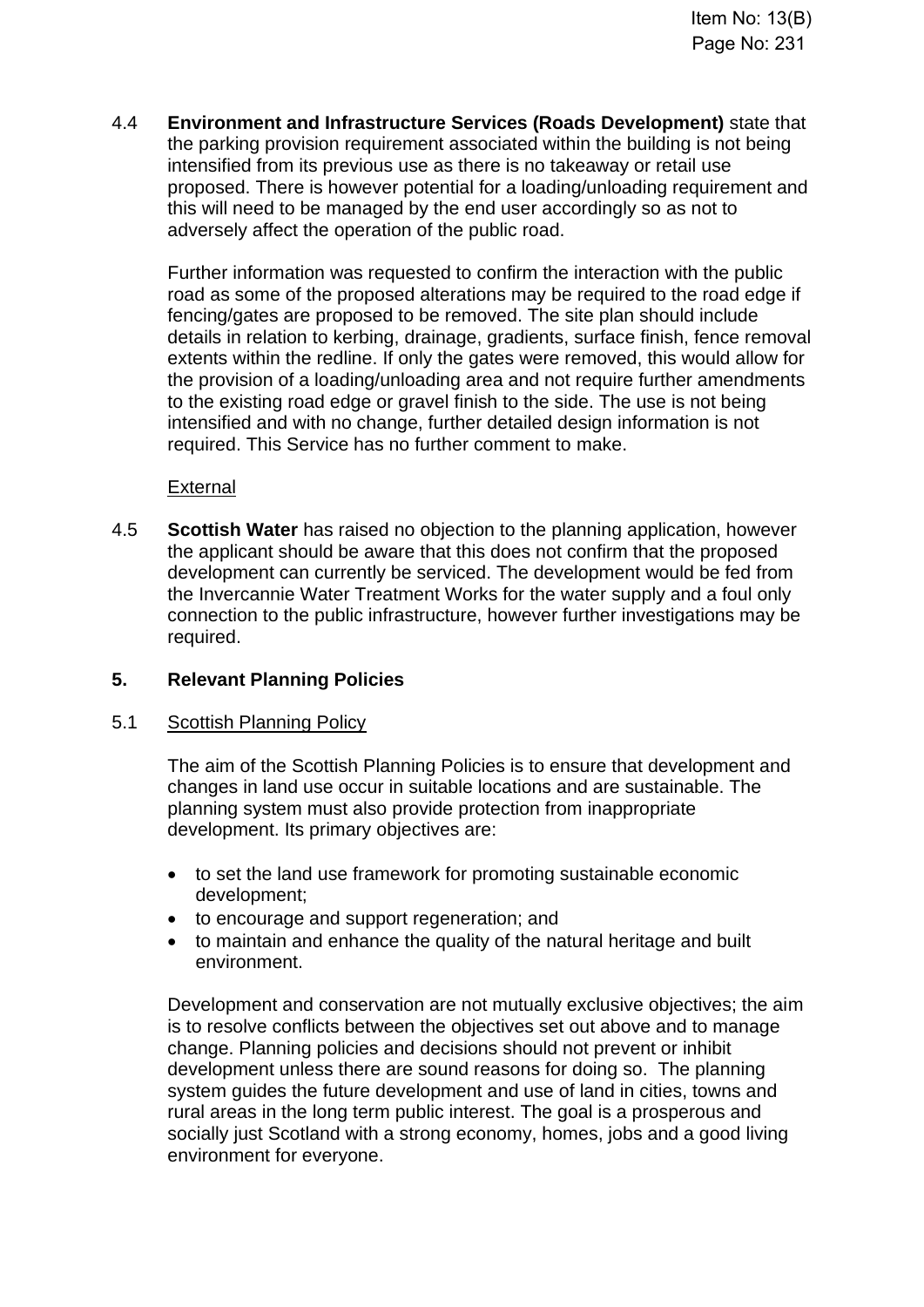4.4 **Environment and Infrastructure Services (Roads Development)** state that the parking provision requirement associated within the building is not being intensified from its previous use as there is no takeaway or retail use proposed. There is however potential for a loading/unloading requirement and this will need to be managed by the end user accordingly so as not to adversely affect the operation of the public road.

Further information was requested to confirm the interaction with the public road as some of the proposed alterations may be required to the road edge if fencing/gates are proposed to be removed. The site plan should include details in relation to kerbing, drainage, gradients, surface finish, fence removal extents within the redline. If only the gates were removed, this would allow for the provision of a loading/unloading area and not require further amendments to the existing road edge or gravel finish to the side. The use is not being intensified and with no change, further detailed design information is not required. This Service has no further comment to make.

External

4.5 **Scottish Water** has raised no objection to the planning application, however the applicant should be aware that this does not confirm that the proposed development can currently be serviced. The development would be fed from the Invercannie Water Treatment Works for the water supply and a foul only connection to the public infrastructure, however further investigations may be required.

# **5. Relevant Planning Policies**

#### 5.1 Scottish Planning Policy

The aim of the Scottish Planning Policies is to ensure that development and changes in land use occur in suitable locations and are sustainable. The planning system must also provide protection from inappropriate development. Its primary objectives are:

- to set the land use framework for promoting sustainable economic development;
- to encourage and support regeneration; and
- to maintain and enhance the quality of the natural heritage and built environment.

Development and conservation are not mutually exclusive objectives; the aim is to resolve conflicts between the objectives set out above and to manage change. Planning policies and decisions should not prevent or inhibit development unless there are sound reasons for doing so. The planning system guides the future development and use of land in cities, towns and rural areas in the long term public interest. The goal is a prosperous and socially just Scotland with a strong economy, homes, jobs and a good living environment for everyone.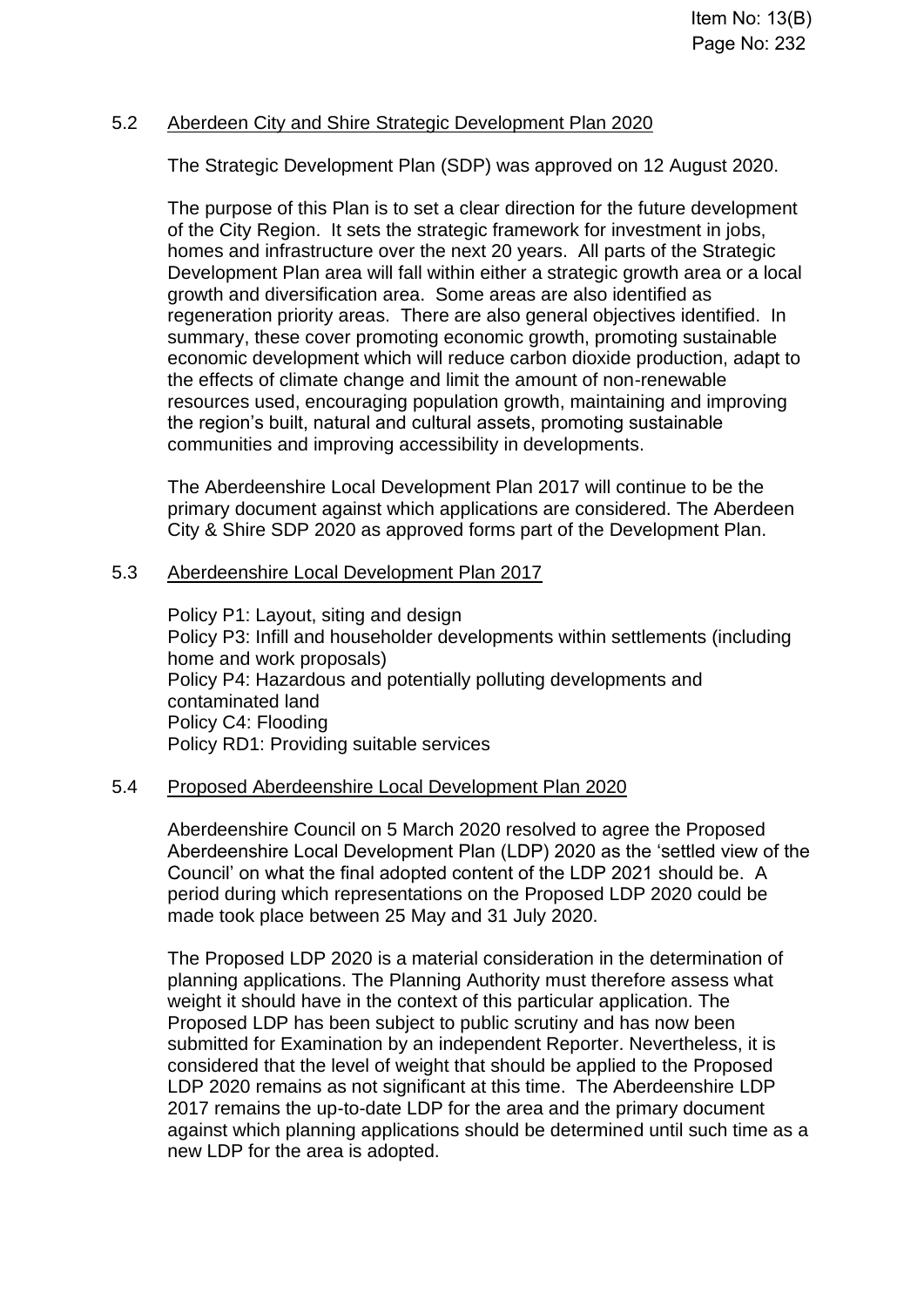#### 5.2 Aberdeen City and Shire Strategic Development Plan 2020

The Strategic Development Plan (SDP) was approved on 12 August 2020.

The purpose of this Plan is to set a clear direction for the future development of the City Region. It sets the strategic framework for investment in jobs, homes and infrastructure over the next 20 years. All parts of the Strategic Development Plan area will fall within either a strategic growth area or a local growth and diversification area. Some areas are also identified as regeneration priority areas. There are also general objectives identified. In summary, these cover promoting economic growth, promoting sustainable economic development which will reduce carbon dioxide production, adapt to the effects of climate change and limit the amount of non-renewable resources used, encouraging population growth, maintaining and improving the region's built, natural and cultural assets, promoting sustainable communities and improving accessibility in developments.

The Aberdeenshire Local Development Plan 2017 will continue to be the primary document against which applications are considered. The Aberdeen City & Shire SDP 2020 as approved forms part of the Development Plan.

#### 5.3 Aberdeenshire Local Development Plan 2017

Policy P1: Layout, siting and design Policy P3: Infill and householder developments within settlements (including home and work proposals) Policy P4: Hazardous and potentially polluting developments and contaminated land Policy C4: Flooding Policy RD1: Providing suitable services

#### 5.4 Proposed Aberdeenshire Local Development Plan 2020

Aberdeenshire Council on 5 March 2020 resolved to agree the Proposed Aberdeenshire Local Development Plan (LDP) 2020 as the 'settled view of the Council' on what the final adopted content of the LDP 2021 should be. A period during which representations on the Proposed LDP 2020 could be made took place between 25 May and 31 July 2020.

The Proposed LDP 2020 is a material consideration in the determination of planning applications. The Planning Authority must therefore assess what weight it should have in the context of this particular application. The Proposed LDP has been subject to public scrutiny and has now been submitted for Examination by an independent Reporter. Nevertheless, it is considered that the level of weight that should be applied to the Proposed LDP 2020 remains as not significant at this time. The Aberdeenshire LDP 2017 remains the up-to-date LDP for the area and the primary document against which planning applications should be determined until such time as a new LDP for the area is adopted.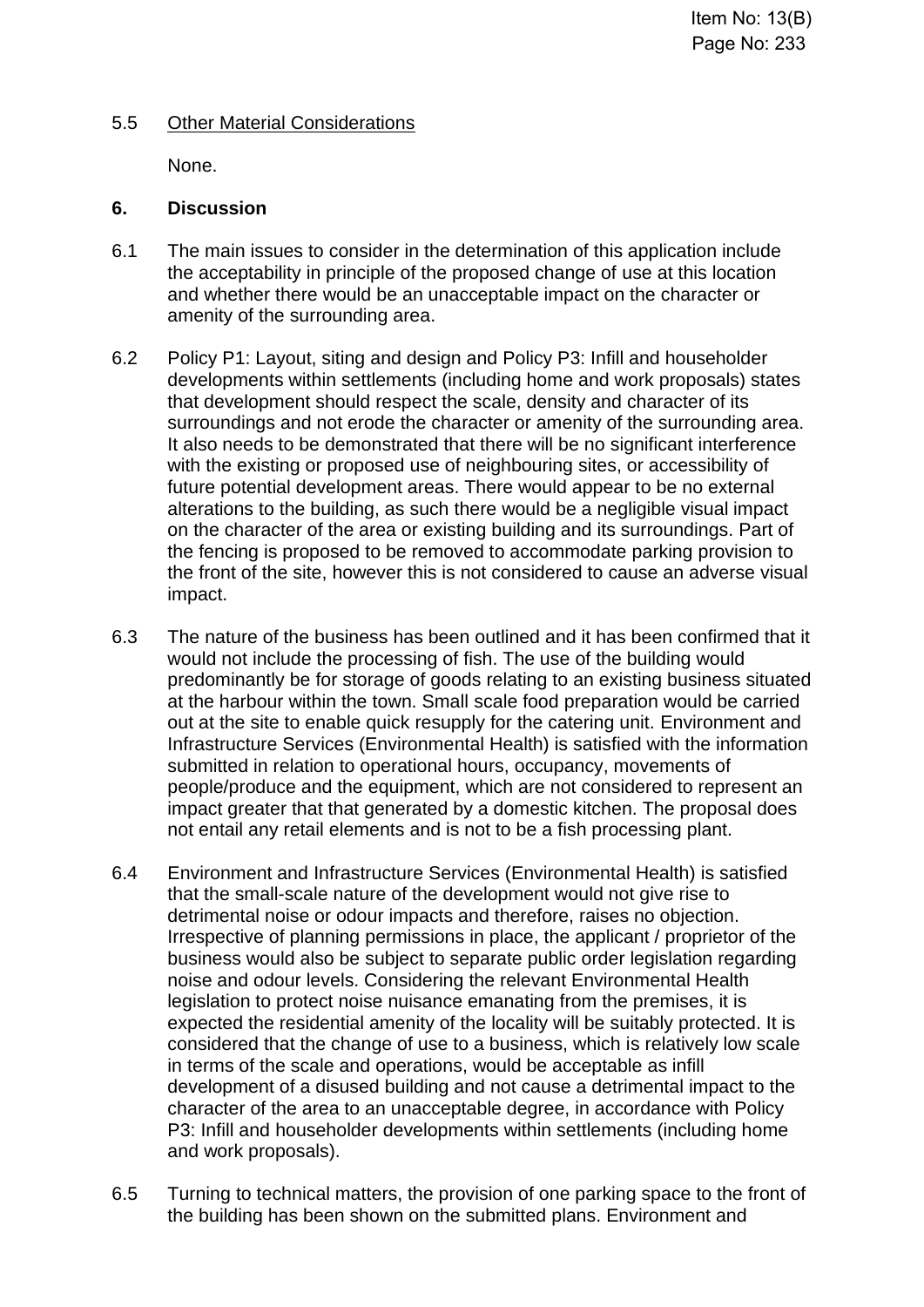#### 5.5 Other Material Considerations

None.

#### **6. Discussion**

- 6.1 The main issues to consider in the determination of this application include the acceptability in principle of the proposed change of use at this location and whether there would be an unacceptable impact on the character or amenity of the surrounding area.
- 6.2 Policy P1: Layout, siting and design and Policy P3: Infill and householder developments within settlements (including home and work proposals) states that development should respect the scale, density and character of its surroundings and not erode the character or amenity of the surrounding area. It also needs to be demonstrated that there will be no significant interference with the existing or proposed use of neighbouring sites, or accessibility of future potential development areas. There would appear to be no external alterations to the building, as such there would be a negligible visual impact on the character of the area or existing building and its surroundings. Part of the fencing is proposed to be removed to accommodate parking provision to the front of the site, however this is not considered to cause an adverse visual impact.
- 6.3 The nature of the business has been outlined and it has been confirmed that it would not include the processing of fish. The use of the building would predominantly be for storage of goods relating to an existing business situated at the harbour within the town. Small scale food preparation would be carried out at the site to enable quick resupply for the catering unit. Environment and Infrastructure Services (Environmental Health) is satisfied with the information submitted in relation to operational hours, occupancy, movements of people/produce and the equipment, which are not considered to represent an impact greater that that generated by a domestic kitchen. The proposal does not entail any retail elements and is not to be a fish processing plant.
- 6.4 Environment and Infrastructure Services (Environmental Health) is satisfied that the small-scale nature of the development would not give rise to detrimental noise or odour impacts and therefore, raises no objection. Irrespective of planning permissions in place, the applicant / proprietor of the business would also be subject to separate public order legislation regarding noise and odour levels. Considering the relevant Environmental Health legislation to protect noise nuisance emanating from the premises, it is expected the residential amenity of the locality will be suitably protected. It is considered that the change of use to a business, which is relatively low scale in terms of the scale and operations, would be acceptable as infill development of a disused building and not cause a detrimental impact to the character of the area to an unacceptable degree, in accordance with Policy P3: Infill and householder developments within settlements (including home and work proposals).
- 6.5 Turning to technical matters, the provision of one parking space to the front of the building has been shown on the submitted plans. Environment and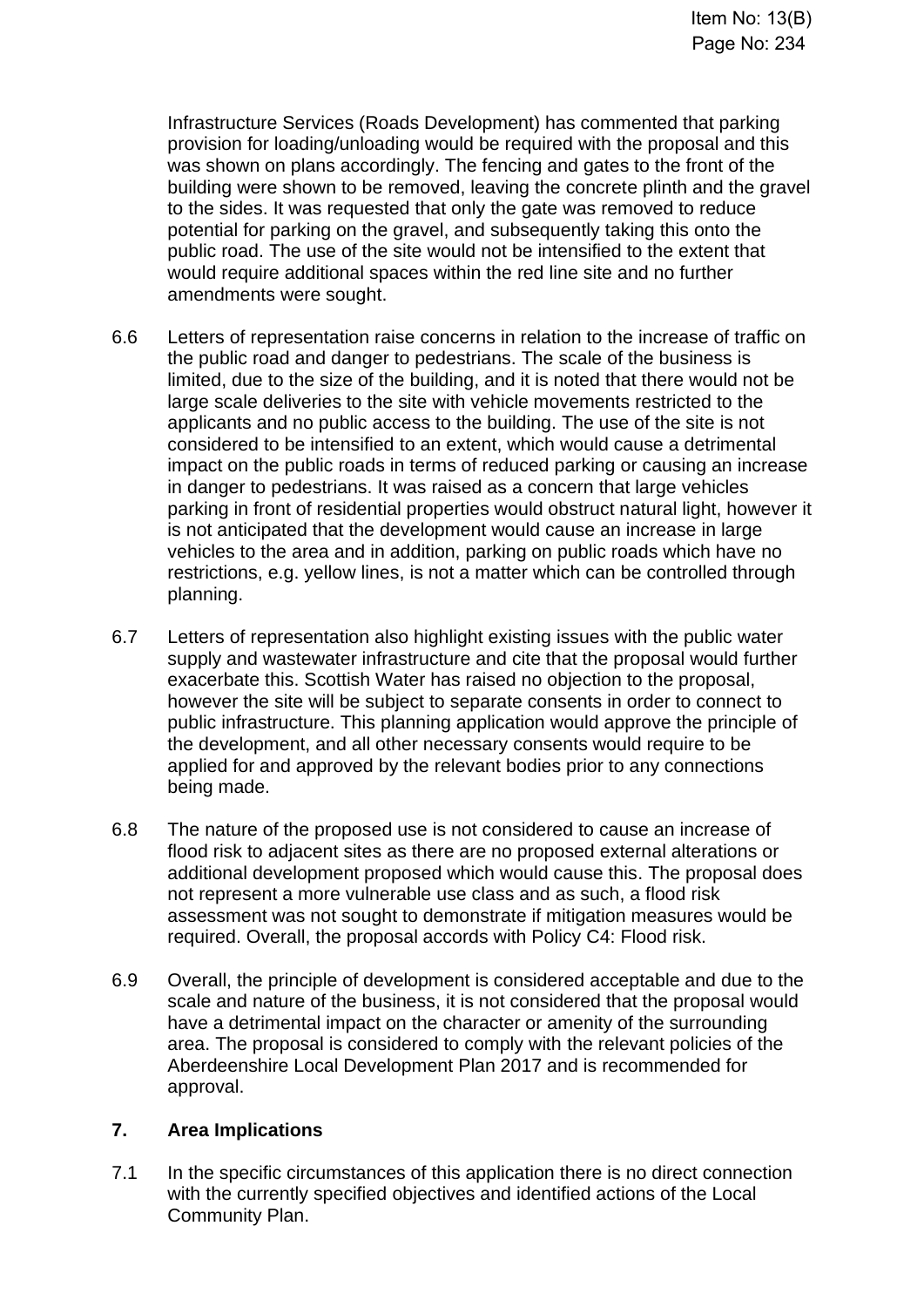Infrastructure Services (Roads Development) has commented that parking provision for loading/unloading would be required with the proposal and this was shown on plans accordingly. The fencing and gates to the front of the building were shown to be removed, leaving the concrete plinth and the gravel to the sides. It was requested that only the gate was removed to reduce potential for parking on the gravel, and subsequently taking this onto the public road. The use of the site would not be intensified to the extent that would require additional spaces within the red line site and no further amendments were sought.

- 6.6 Letters of representation raise concerns in relation to the increase of traffic on the public road and danger to pedestrians. The scale of the business is limited, due to the size of the building, and it is noted that there would not be large scale deliveries to the site with vehicle movements restricted to the applicants and no public access to the building. The use of the site is not considered to be intensified to an extent, which would cause a detrimental impact on the public roads in terms of reduced parking or causing an increase in danger to pedestrians. It was raised as a concern that large vehicles parking in front of residential properties would obstruct natural light, however it is not anticipated that the development would cause an increase in large vehicles to the area and in addition, parking on public roads which have no restrictions, e.g. yellow lines, is not a matter which can be controlled through planning.
- 6.7 Letters of representation also highlight existing issues with the public water supply and wastewater infrastructure and cite that the proposal would further exacerbate this. Scottish Water has raised no objection to the proposal, however the site will be subject to separate consents in order to connect to public infrastructure. This planning application would approve the principle of the development, and all other necessary consents would require to be applied for and approved by the relevant bodies prior to any connections being made.
- 6.8 The nature of the proposed use is not considered to cause an increase of flood risk to adjacent sites as there are no proposed external alterations or additional development proposed which would cause this. The proposal does not represent a more vulnerable use class and as such, a flood risk assessment was not sought to demonstrate if mitigation measures would be required. Overall, the proposal accords with Policy C4: Flood risk.
- 6.9 Overall, the principle of development is considered acceptable and due to the scale and nature of the business, it is not considered that the proposal would have a detrimental impact on the character or amenity of the surrounding area. The proposal is considered to comply with the relevant policies of the Aberdeenshire Local Development Plan 2017 and is recommended for approval.

#### **7. Area Implications**

7.1 In the specific circumstances of this application there is no direct connection with the currently specified objectives and identified actions of the Local Community Plan.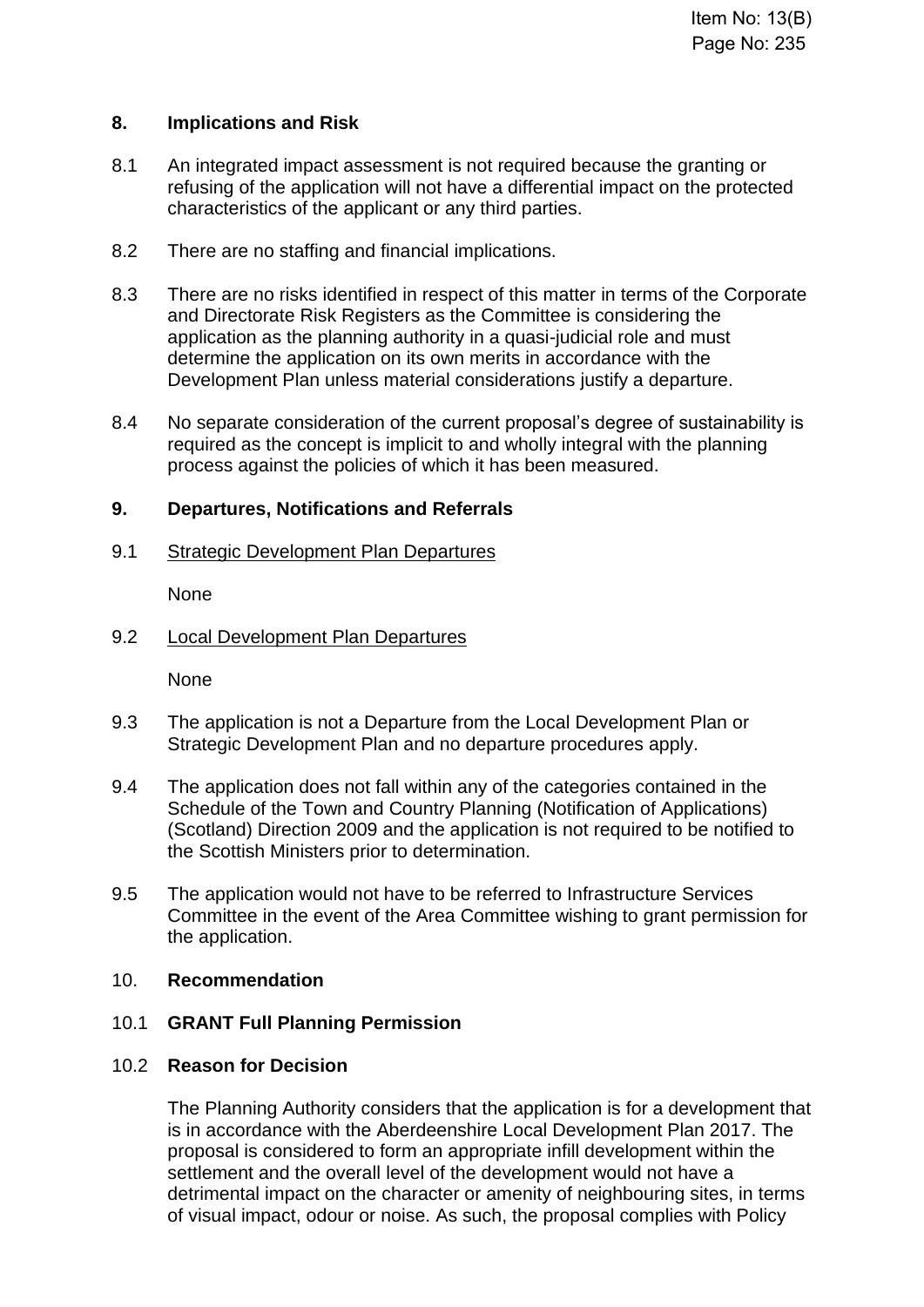#### **8. Implications and Risk**

- 8.1 An integrated impact assessment is not required because the granting or refusing of the application will not have a differential impact on the protected characteristics of the applicant or any third parties.
- 8.2 There are no staffing and financial implications.
- 8.3 There are no risks identified in respect of this matter in terms of the Corporate and Directorate Risk Registers as the Committee is considering the application as the planning authority in a quasi-judicial role and must determine the application on its own merits in accordance with the Development Plan unless material considerations justify a departure.
- 8.4 No separate consideration of the current proposal's degree of sustainability is required as the concept is implicit to and wholly integral with the planning process against the policies of which it has been measured.

#### **9. Departures, Notifications and Referrals**

9.1 Strategic Development Plan Departures

None

9.2 Local Development Plan Departures

None

- 9.3 The application is not a Departure from the Local Development Plan or Strategic Development Plan and no departure procedures apply.
- 9.4 The application does not fall within any of the categories contained in the Schedule of the Town and Country Planning (Notification of Applications) (Scotland) Direction 2009 and the application is not required to be notified to the Scottish Ministers prior to determination.
- 9.5 The application would not have to be referred to Infrastructure Services Committee in the event of the Area Committee wishing to grant permission for the application.

#### 10. **Recommendation**

# 10.1 **GRANT Full Planning Permission**

# 10.2 **Reason for Decision**

The Planning Authority considers that the application is for a development that is in accordance with the Aberdeenshire Local Development Plan 2017. The proposal is considered to form an appropriate infill development within the settlement and the overall level of the development would not have a detrimental impact on the character or amenity of neighbouring sites, in terms of visual impact, odour or noise. As such, the proposal complies with Policy